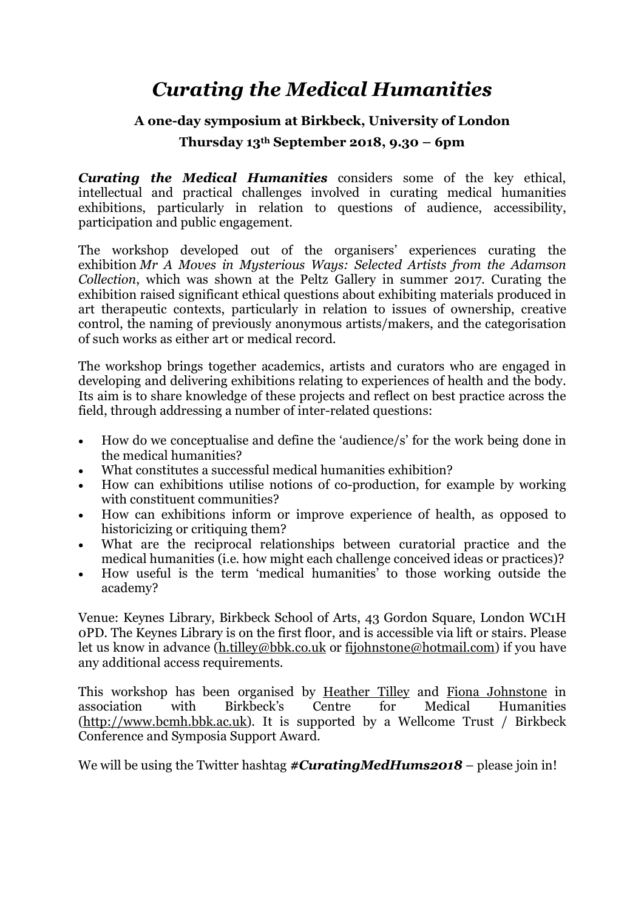## *Curating the Medical Humanities*

## **A one-day symposium at Birkbeck, University of London**

## **Thursday 13th September 2018, 9.30 – 6pm**

*Curating the Medical Humanities* considers some of the key ethical, intellectual and practical challenges involved in curating medical humanities exhibitions, particularly in relation to questions of audience, accessibility, participation and public engagement.

The workshop developed out of the organisers' experiences curating the exhibition *Mr A Moves in Mysterious Ways: Selected Artists from the Adamson Collection*, which was shown at the Peltz Gallery in summer 2017. Curating the exhibition raised significant ethical questions about exhibiting materials produced in art therapeutic contexts, particularly in relation to issues of ownership, creative control, the naming of previously anonymous artists/makers, and the categorisation of such works as either art or medical record.

The workshop brings together academics, artists and curators who are engaged in developing and delivering exhibitions relating to experiences of health and the body. Its aim is to share knowledge of these projects and reflect on best practice across the field, through addressing a number of inter-related questions:

- How do we conceptualise and define the 'audience/s' for the work being done in the medical humanities?
- What constitutes a successful medical humanities exhibition?
- How can exhibitions utilise notions of co-production, for example by working with constituent communities?
- How can exhibitions inform or improve experience of health, as opposed to historicizing or critiquing them?
- What are the reciprocal relationships between curatorial practice and the medical humanities (i.e. how might each challenge conceived ideas or practices)?
- How useful is the term 'medical humanities' to those working outside the academy?

Venue: Keynes Library, Birkbeck School of Arts, 43 Gordon Square, London WC1H 0PD. The Keynes Library is on the first floor, and is accessible via lift or stairs. Please let us know in advance (h.tilley@bbk.co.uk or fijohnstone@hotmail.com) if you have any additional access requirements.

This workshop has been organised by Heather Tilley and Fiona Johnstone in association with Birkbeck's Centre for Medical Humanities (http://www.bcmh.bbk.ac.uk). It is supported by a Wellcome Trust / Birkbeck Conference and Symposia Support Award.

We will be using the Twitter hashtag **#CuratingMedHums2018** – please join in!